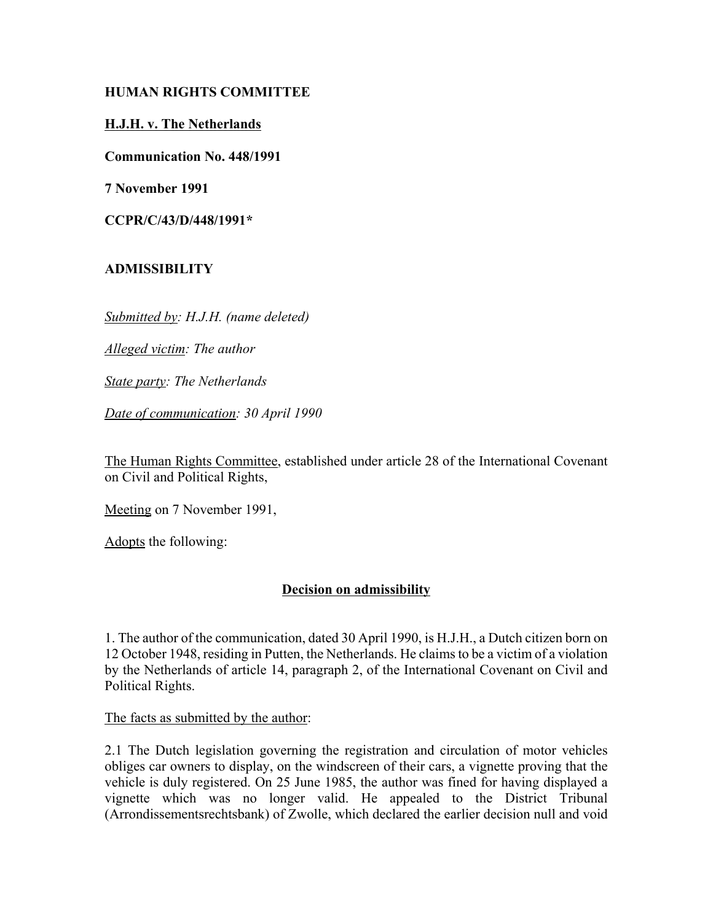# **HUMAN RIGHTS COMMITTEE**

## **H.J.H. v. The Netherlands**

**Communication No. 448/1991**

**7 November 1991**

**CCPR/C/43/D/448/1991\***

# **ADMISSIBILITY**

*Submitted by: H.J.H. (name deleted)*

*Alleged victim: The author*

*State party: The Netherlands*

*Date of communication: 30 April 1990*

The Human Rights Committee, established under article 28 of the International Covenant on Civil and Political Rights,

Meeting on 7 November 1991,

Adopts the following:

# **Decision on admissibility**

1. The author of the communication, dated 30 April 1990, is H.J.H., a Dutch citizen born on 12 October 1948, residing in Putten, the Netherlands. He claims to be a victim of a violation by the Netherlands of article 14, paragraph 2, of the International Covenant on Civil and Political Rights.

The facts as submitted by the author:

2.1 The Dutch legislation governing the registration and circulation of motor vehicles obliges car owners to display, on the windscreen of their cars, a vignette proving that the vehicle is duly registered. On 25 June 1985, the author was fined for having displayed a vignette which was no longer valid. He appealed to the District Tribunal (Arrondissementsrechtsbank) of Zwolle, which declared the earlier decision null and void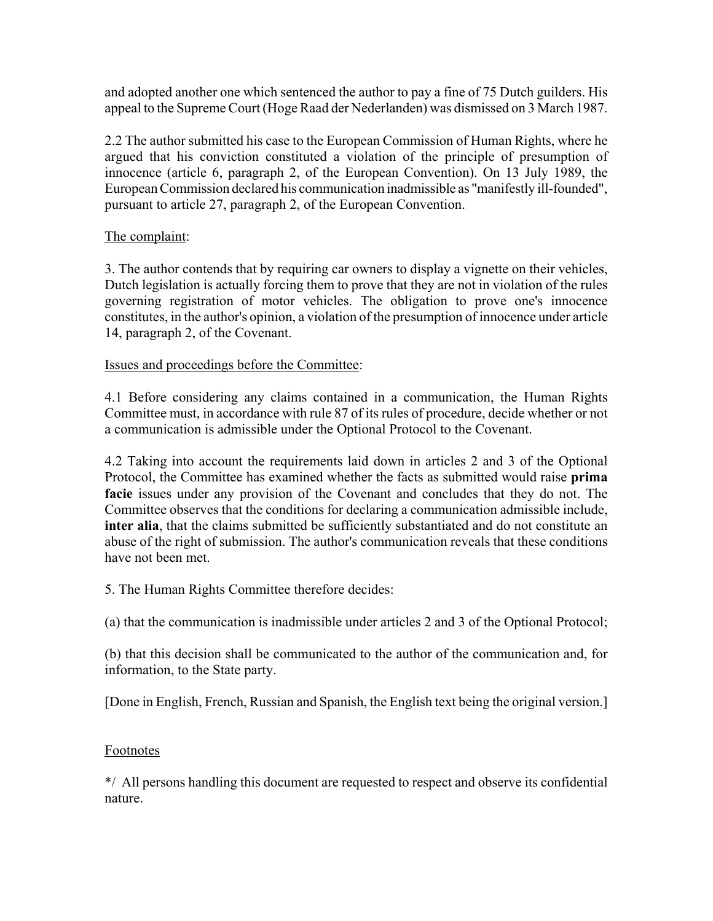and adopted another one which sentenced the author to pay a fine of 75 Dutch guilders. His appeal to the Supreme Court (Hoge Raad der Nederlanden) was dismissed on 3 March 1987.

2.2 The author submitted his case to the European Commission of Human Rights, where he argued that his conviction constituted a violation of the principle of presumption of innocence (article 6, paragraph 2, of the European Convention). On 13 July 1989, the European Commission declared his communication inadmissible as "manifestly ill-founded", pursuant to article 27, paragraph 2, of the European Convention.

#### The complaint:

3. The author contends that by requiring car owners to display a vignette on their vehicles, Dutch legislation is actually forcing them to prove that they are not in violation of the rules governing registration of motor vehicles. The obligation to prove one's innocence constitutes, in the author's opinion, a violation of the presumption of innocence under article 14, paragraph 2, of the Covenant.

#### Issues and proceedings before the Committee:

4.1 Before considering any claims contained in a communication, the Human Rights Committee must, in accordance with rule 87 of its rules of procedure, decide whether or not a communication is admissible under the Optional Protocol to the Covenant.

4.2 Taking into account the requirements laid down in articles 2 and 3 of the Optional Protocol, the Committee has examined whether the facts as submitted would raise **prima facie** issues under any provision of the Covenant and concludes that they do not. The Committee observes that the conditions for declaring a communication admissible include, **inter alia**, that the claims submitted be sufficiently substantiated and do not constitute an abuse of the right of submission. The author's communication reveals that these conditions have not been met.

5. The Human Rights Committee therefore decides:

(a) that the communication is inadmissible under articles 2 and 3 of the Optional Protocol;

(b) that this decision shall be communicated to the author of the communication and, for information, to the State party.

[Done in English, French, Russian and Spanish, the English text being the original version.]

#### Footnotes

\*/ All persons handling this document are requested to respect and observe its confidential nature.